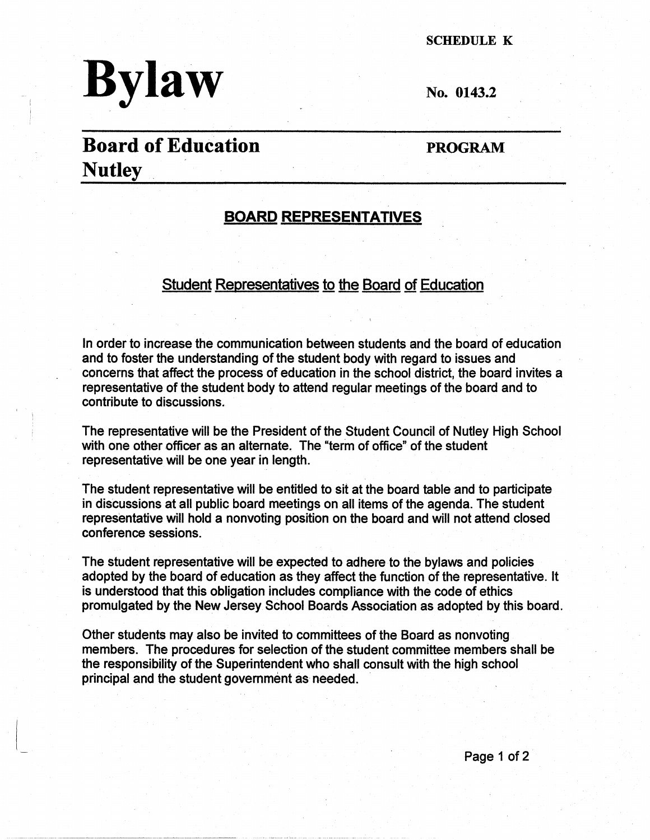

SCHEDULE K

No. 0143.2

# **Board of Education Nutley**

**PROGRAM** 

## **BOARD REPRESENTATIVES**

## Student Representatives to the Board of Education

In order to increase the communication between students and the board of education and to foster the understanding of the student body with regard to issues and concerns that affect the process of education in the school district, the board invites a representative of the student body to attend regular meetings of the board and to contribute to discussions.

The representative will be the President of the Student Council of Nutley High School with one other officer as an alternate. The "term of office" of the student representative will be one year in length.

The student representative will be entitled to sit at the board table and to participate in discussions at all public board meetings on all items of the agenda. The student representative will hold a nonvoting position on the board and will not attend closed conference sessions.

The student representative will be expected to adhere to the bylaws and policies adopted by the board of education as they affect the function of the representative. It is understood that this obligation includes compliance with the code of ethics promulgated by the New Jersey School Boards Association as adopted by this board.

Other students may also be invited to committees of the Board as nonvoting members. The procedures for selection of the student committee members shall be the responsibility of the Superintendent who shall consult with the high school principal and the student government as needed.